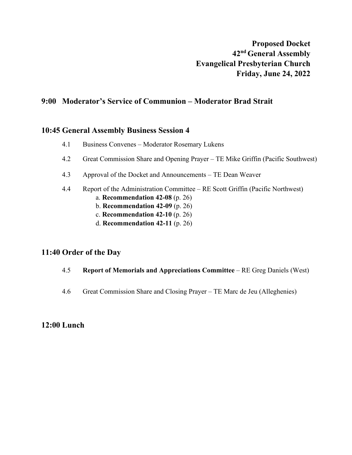# **9:00 Moderator's Service of Communion – Moderator Brad Strait**

### **10:45 General Assembly Business Session 4**

- 4.1 Business Convenes Moderator Rosemary Lukens
- 4.2 Great Commission Share and Opening Prayer TE Mike Griffin (Pacific Southwest)
- 4.3 Approval of the Docket and Announcements TE Dean Weaver
- 4.4 Report of the Administration Committee RE Scott Griffin (Pacific Northwest)
	- a. **Recommendation 42-08** (p. 26)
	- b. **Recommendation 42-09** (p. 26)
	- c. **Recommendation 42-10** (p. 26)
	- d. **Recommendation 42-11** (p. 26)

## **11:40 Order of the Day**

- 4.5 **Report of Memorials and Appreciations Committee** RE Greg Daniels (West)
- 4.6 Great Commission Share and Closing Prayer TE Marc de Jeu (Alleghenies)

### **12:00 Lunch**